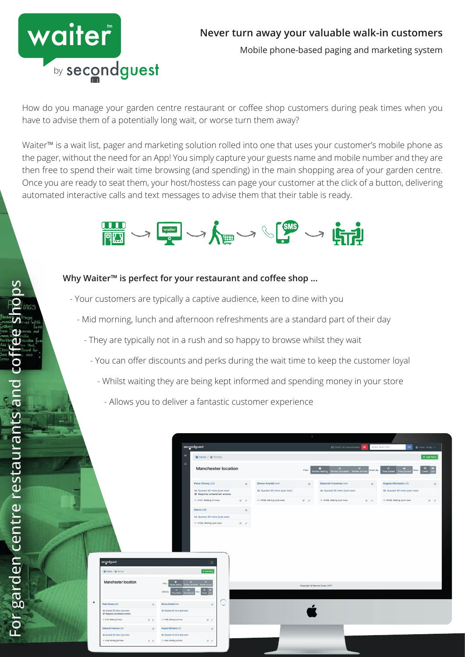

# **Never turn away your valuable walk-in customers**

Mobile phone-based paging and marketing system

How do you manage your garden centre restaurant or coffee shop customers during peak times when you have to advise them of a potentially long wait, or worse turn them away?

Waiter™ is a wait list, pager and marketing solution rolled into one that uses your customer's mobile phone as the pager, without the need for an App! You simply capture your guests name and mobile number and they are then free to spend their wait time browsing (and spending) in the main shopping area of your garden centre. Once you are ready to seat them, your host/hostess can page your customer at the click of a button, delivering automated interactive calls and text messages to advise them that their table is ready.



# **Why Waiter™ is perfect for your restaurant and coffee shop ...**

- Your customers are typically a captive audience, keen to dine with you
	- Mid morning, lunch and afternoon refreshments are a standard part of their day
		- They are typically not in a rush and so happy to browse whilst they wait
			- You can offer discounts and perks during the wait time to keep the customer loyal
				- Whilst waiting they are being kept informed and spending money in your store
					- Allows you to deliver a fantastic customer experience